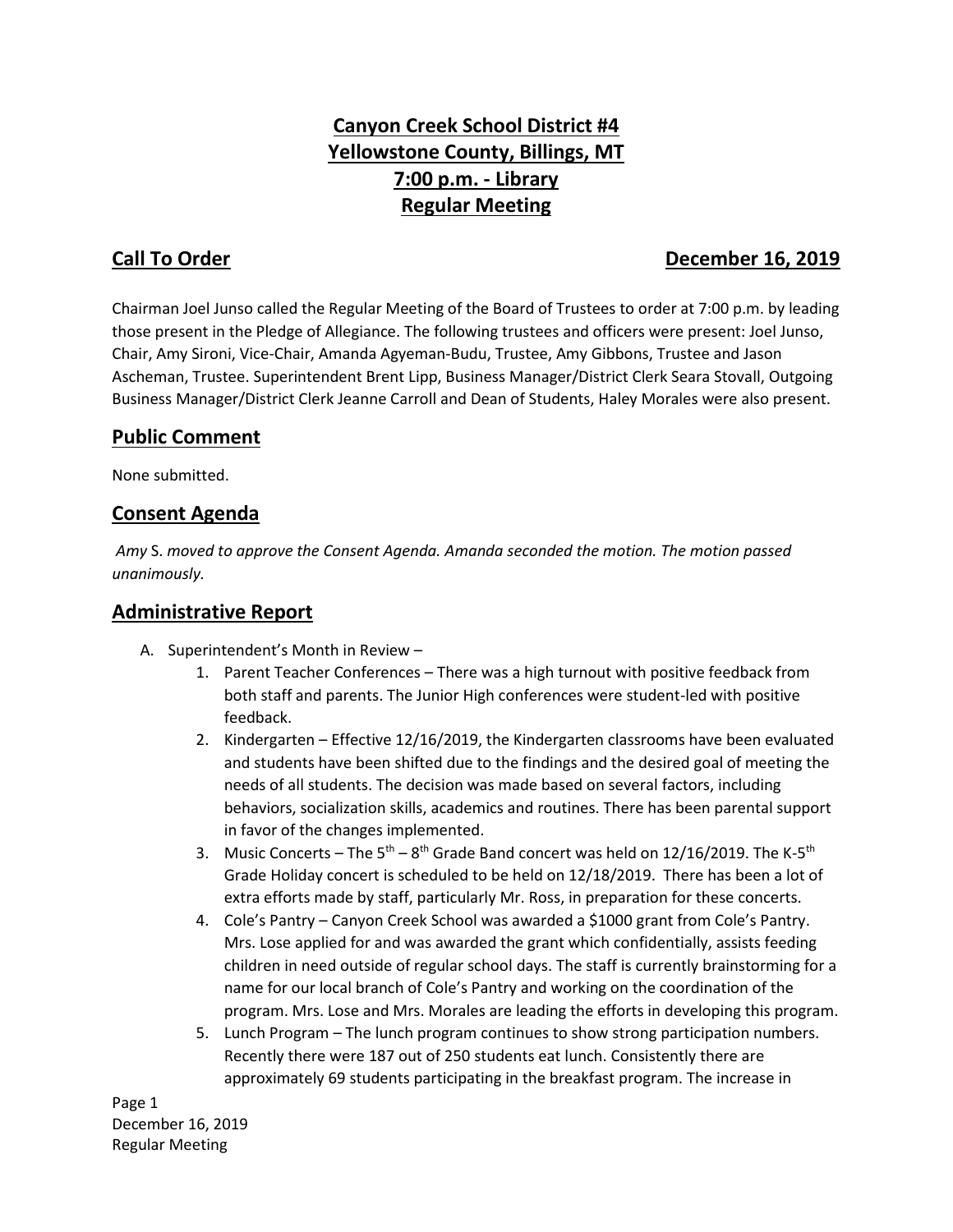# **Canyon Creek School District #4 Yellowstone County, Billings, MT 7:00 p.m. - Library Regular Meeting**

## **Call To Order December 16, 2019**

Chairman Joel Junso called the Regular Meeting of the Board of Trustees to order at 7:00 p.m. by leading those present in the Pledge of Allegiance. The following trustees and officers were present: Joel Junso, Chair, Amy Sironi, Vice-Chair, Amanda Agyeman-Budu, Trustee, Amy Gibbons, Trustee and Jason Ascheman, Trustee. Superintendent Brent Lipp, Business Manager/District Clerk Seara Stovall, Outgoing Business Manager/District Clerk Jeanne Carroll and Dean of Students, Haley Morales were also present.

#### **Public Comment**

None submitted.

#### **Consent Agenda**

*Amy* S. *moved to approve the Consent Agenda. Amanda seconded the motion. The motion passed unanimously.* 

#### **Administrative Report**

- A. Superintendent's Month in Review
	- 1. Parent Teacher Conferences There was a high turnout with positive feedback from both staff and parents. The Junior High conferences were student-led with positive feedback.
	- 2. Kindergarten Effective 12/16/2019, the Kindergarten classrooms have been evaluated and students have been shifted due to the findings and the desired goal of meeting the needs of all students. The decision was made based on several factors, including behaviors, socialization skills, academics and routines. There has been parental support in favor of the changes implemented.
	- 3. Music Concerts The  $5<sup>th</sup> 8<sup>th</sup>$  Grade Band concert was held on 12/16/2019. The K- $5<sup>th</sup>$ Grade Holiday concert is scheduled to be held on 12/18/2019. There has been a lot of extra efforts made by staff, particularly Mr. Ross, in preparation for these concerts.
	- 4. Cole's Pantry Canyon Creek School was awarded a \$1000 grant from Cole's Pantry. Mrs. Lose applied for and was awarded the grant which confidentially, assists feeding children in need outside of regular school days. The staff is currently brainstorming for a name for our local branch of Cole's Pantry and working on the coordination of the program. Mrs. Lose and Mrs. Morales are leading the efforts in developing this program.
	- 5. Lunch Program The lunch program continues to show strong participation numbers. Recently there were 187 out of 250 students eat lunch. Consistently there are approximately 69 students participating in the breakfast program. The increase in

Page 1 December 16, 2019 Regular Meeting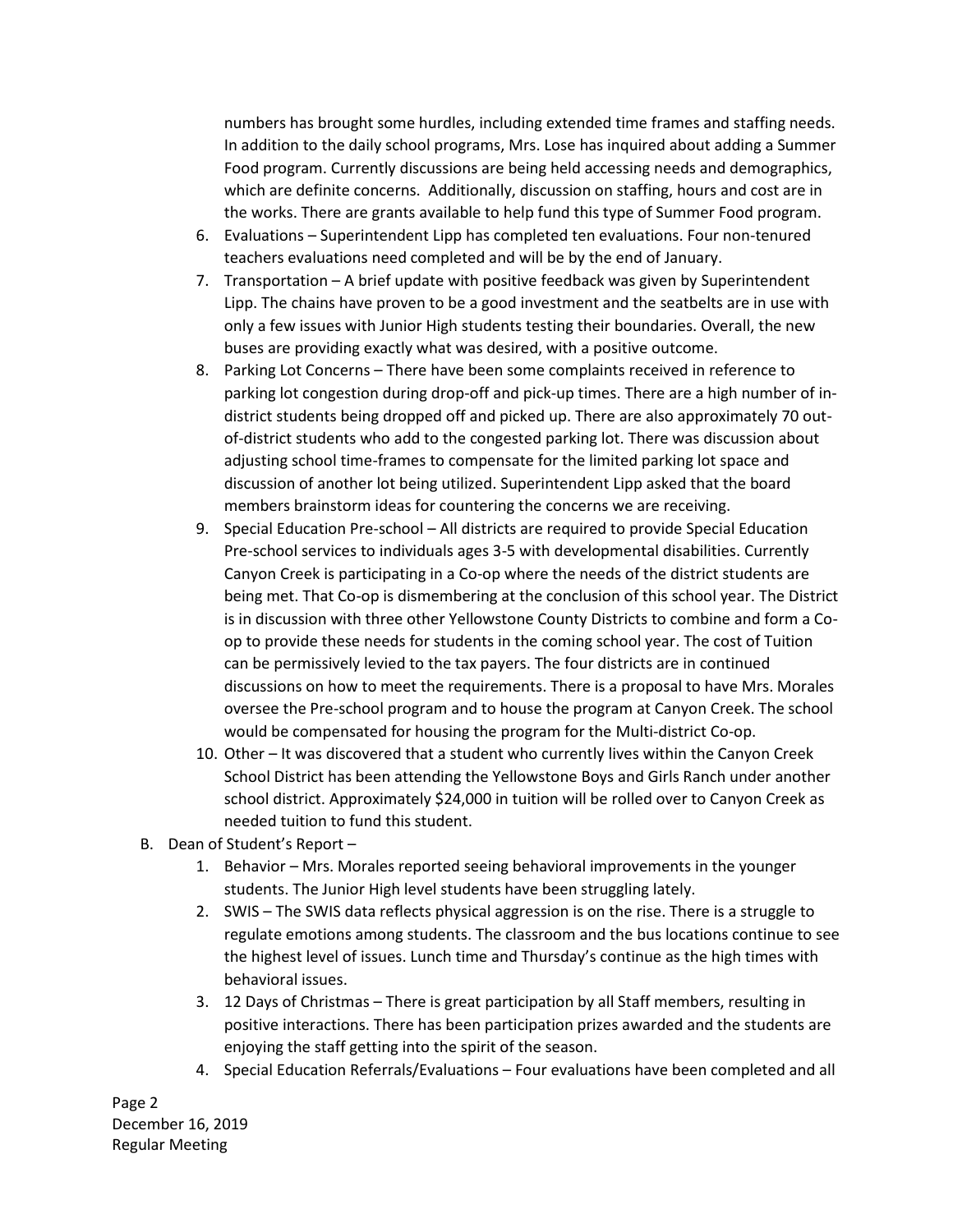numbers has brought some hurdles, including extended time frames and staffing needs. In addition to the daily school programs, Mrs. Lose has inquired about adding a Summer Food program. Currently discussions are being held accessing needs and demographics, which are definite concerns. Additionally, discussion on staffing, hours and cost are in the works. There are grants available to help fund this type of Summer Food program.

- 6. Evaluations Superintendent Lipp has completed ten evaluations. Four non-tenured teachers evaluations need completed and will be by the end of January.
- 7. Transportation A brief update with positive feedback was given by Superintendent Lipp. The chains have proven to be a good investment and the seatbelts are in use with only a few issues with Junior High students testing their boundaries. Overall, the new buses are providing exactly what was desired, with a positive outcome.
- 8. Parking Lot Concerns There have been some complaints received in reference to parking lot congestion during drop-off and pick-up times. There are a high number of indistrict students being dropped off and picked up. There are also approximately 70 outof-district students who add to the congested parking lot. There was discussion about adjusting school time-frames to compensate for the limited parking lot space and discussion of another lot being utilized. Superintendent Lipp asked that the board members brainstorm ideas for countering the concerns we are receiving.
- 9. Special Education Pre-school All districts are required to provide Special Education Pre-school services to individuals ages 3-5 with developmental disabilities. Currently Canyon Creek is participating in a Co-op where the needs of the district students are being met. That Co-op is dismembering at the conclusion of this school year. The District is in discussion with three other Yellowstone County Districts to combine and form a Coop to provide these needs for students in the coming school year. The cost of Tuition can be permissively levied to the tax payers. The four districts are in continued discussions on how to meet the requirements. There is a proposal to have Mrs. Morales oversee the Pre-school program and to house the program at Canyon Creek. The school would be compensated for housing the program for the Multi-district Co-op.
- 10. Other It was discovered that a student who currently lives within the Canyon Creek School District has been attending the Yellowstone Boys and Girls Ranch under another school district. Approximately \$24,000 in tuition will be rolled over to Canyon Creek as needed tuition to fund this student.
- B. Dean of Student's Report
	- 1. Behavior Mrs. Morales reported seeing behavioral improvements in the younger students. The Junior High level students have been struggling lately.
	- 2. SWIS The SWIS data reflects physical aggression is on the rise. There is a struggle to regulate emotions among students. The classroom and the bus locations continue to see the highest level of issues. Lunch time and Thursday's continue as the high times with behavioral issues.
	- 3. 12 Days of Christmas There is great participation by all Staff members, resulting in positive interactions. There has been participation prizes awarded and the students are enjoying the staff getting into the spirit of the season.
	- 4. Special Education Referrals/Evaluations Four evaluations have been completed and all

Page 2 December 16, 2019 Regular Meeting